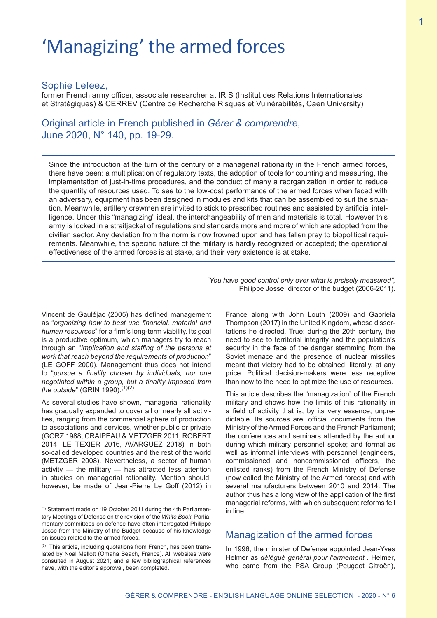# 'Managizing' the armed forces

#### Sophie Lefeez,

former French army officer, associate researcher at IRIS (Institut des Relations Internationales et Stratégiques) & CERREV (Centre de Recherche Risques et Vulnérabilités, Caen University)

Original article in French published in *Gérer & comprendre*, June 2020, N° 140, pp. 19-29.

Since the introduction at the turn of the century of a managerial rationality in the French armed forces, there have been: a multiplication of regulatory texts, the adoption of tools for counting and measuring, the implementation of just-in-time procedures, and the conduct of many a reorganization in order to reduce the quantity of resources used. To see to the low-cost performance of the armed forces when faced with an adversary, equipment has been designed in modules and kits that can be assembled to suit the situation. Meanwhile, artillery crewmen are invited to stick to prescribed routines and assisted by artificial intelligence. Under this "managizing" ideal, the interchangeability of men and materials is total. However this army is locked in a straitjacket of regulations and standards more and more of which are adopted from the civilian sector. Any deviation from the norm is now frowned upon and has fallen prey to biopolitical requirements. Meanwhile, the specific nature of the military is hardly recognized or accepted; the operational effectiveness of the armed forces is at stake, and their very existence is at stake.

> *"You have good control only over what is prcisely measured",*  Philippe Josse, director of the budget (2006-2011).

Vincent de Gauléjac (2005) has defined management as "*organizing how to best use financial, material and human resources*" for a firm's long-term viability. Its goal is a productive optimum, which managers try to reach through an "*implication and staffing of the persons at work that reach beyond the requirements of production*" (LE GOFF 2000). Management thus does not intend to "*pursue a finality chosen by individuals, nor one negotiated within a group, but a finality imposed from the outside*" (GRIN 1990).<sup>(1)(2)</sup>

As several studies have shown, managerial rationality has gradually expanded to cover all or nearly all activities, ranging from the commercial sphere of production to associations and services, whether public or private (GORZ 1988, CRAIPEAU & METZGER 2011, ROBERT 2014, LE TEXIER 2016, AVARGUEZ 2018) in both so-called developed countries and the rest of the world (METZGER 2008). Nevertheless, a sector of human activity — the military — has attracted less attention in studies on managerial rationality. Mention should, however, be made of Jean-Pierre Le Goff (2012) in

France along with John Louth (2009) and Gabriela Thompson (2017) in the United Kingdom, whose dissertations he directed. True: during the 20th century, the need to see to territorial integrity and the population's security in the face of the danger stemming from the Soviet menace and the presence of nuclear missiles meant that victory had to be obtained, literally, at any price. Political decision-makers were less receptive than now to the need to optimize the use of resources.

This article describes the "managization" of the French military and shows how the limits of this rationality in a field of activity that is, by its very essence, unpredictable. Its sources are: official documents from the Ministry of the Armed Forces and the French Parliament; the conferences and seminars attended by the author during which military personnel spoke; and formal as well as informal interviews with personnel (engineers, commissioned and noncommissioned officers, the enlisted ranks) from the French Ministry of Defense (now called the Ministry of the Armed forces) and with several manufacturers between 2010 and 2014. The author thus has a long view of the application of the first managerial reforms, with which subsequent reforms fell in line.

# Managization of the armed forces

In 1996, the minister of Defense appointed Jean-Yves Helmer as *délégué général pour l'armement* . Helmer, who came from the PSA Group (Peugeot Citroën),

<sup>(1)</sup> Statement made on 19 October 2011 during the 4th Parliamentary Meetings of Defense on the revision of the *White Book*. Parliamentary committees on defense have often interrogated Philippe Josse from the Ministry of the Budget because of his knowledge on issues related to the armed forces.

<sup>(2)</sup> This article, including quotations from French, has been translated by Noal Mellott (Omaha Beach, France). All websites were consulted in August 2021; and a few bibliographical references have, with the editor's approval, been completed.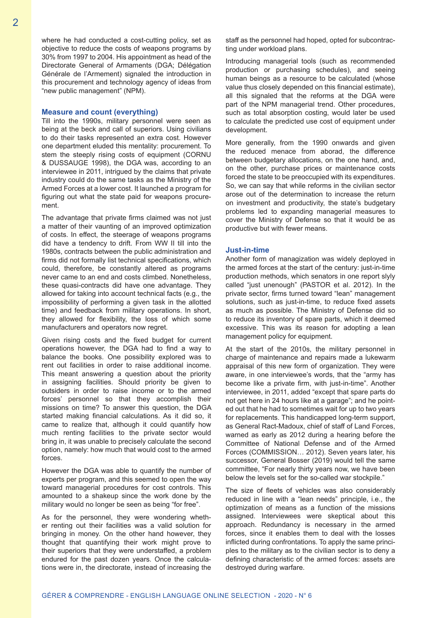where he had conducted a cost-cutting policy, set as objective to reduce the costs of weapons programs by 30% from 1997 to 2004. His appointment as head of the Directorate General of Armaments (DGA; Délégation Générale de l'Armement) signaled the introduction in this procurement and technology agency of ideas from "new public management" (NPM).

#### **Measure and count (everything)**

Till into the 1990s, military personnel were seen as being at the beck and call of superiors. Using civilians to do their tasks represented an extra cost. However one department eluded this mentality: procurement. To stem the steeply rising costs of equipment (CORNU & DUSSAUGE 1998), the DGA was, according to an interviewee in 2011, intrigued by the claims that private industry could do the same tasks as the Ministry of the Armed Forces at a lower cost. It launched a program for figuring out what the state paid for weapons procurement.

The advantage that private firms claimed was not just a matter of their vaunting of an improved optimization of costs. In effect, the steerage of weapons programs did have a tendency to drift. From WW II till into the 1980s, contracts between the public administration and firms did not formally list technical specifications, which could, therefore, be constantly altered as programs never came to an end and costs climbed. Nonetheless, these quasi-contracts did have one advantage. They allowed for taking into account technical facts (e.g., the impossibility of performing a given task in the allotted time) and feedback from military operations. In short, they allowed for flexibility, the loss of which some manufacturers and operators now regret.

Given rising costs and the fixed budget for current operations however, the DGA had to find a way to balance the books. One possibility explored was to rent out facilities in order to raise additional income. This meant answering a question about the priority in assigning facilities. Should priority be given to outsiders in order to raise income or to the armed forces' personnel so that they accomplish their missions on time? To answer this question, the DGA started making financial calculations. As it did so, it came to realize that, although it could quantify how much renting facilities to the private sector would bring in, it was unable to precisely calculate the second option, namely: how much that would cost to the armed forces.

However the DGA was able to quantify the number of experts per program, and this seemed to open the way toward managerial procedures for cost controls. This amounted to a shakeup since the work done by the military would no longer be seen as being "for free".

As for the personnel, they were wondering whether renting out their facilities was a valid solution for bringing in money. On the other hand however, they thought that quantifying their work might prove to their superiors that they were understaffed, a problem endured for the past dozen years. Once the calculations were in, the directorate, instead of increasing the

staff as the personnel had hoped, opted for subcontracting under workload plans.

Introducing managerial tools (such as recommended production or purchasing schedules), and seeing human beings as a resource to be calculated (whose value thus closely depended on this financial estimate), all this signaled that the reforms at the DGA were part of the NPM managerial trend. Other procedures, such as total absorption costing, would later be used to calculate the predicted use cost of equipment under development.

More generally, from the 1990 onwards and given the reduced menace from aborad, the difference between budgetary allocations, on the one hand, and, on the other, purchase prices or maintenance costs forced the state to be preoccupied with its expenditures. So, we can say that while reforms in the civilian sector arose out of the determination to increase the return on investment and productivity, the state's budgetary problems led to expanding managerial measures to cover the Ministry of Defense so that it would be as productive but with fewer means.

#### **Just-in-time**

Another form of managization was widely deployed in the armed forces at the start of the century: just-in-time production methods, which senators in one report slyly called "just unenough" (PASTOR et al. 2012). In the private sector, firms turned toward "lean" management solutions, such as just-in-time, to reduce fixed assets as much as possible. The Ministry of Defense did so to reduce its inventory of spare parts, which it deemed excessive. This was its reason for adopting a lean management policy for equipment.

At the start of the 2010s, the military personnel in charge of maintenance and repairs made a lukewarm appraisal of this new form of organization. They were aware, in one interviewee's words, that the "army has become like a private firm, with just-in-time". Another interviewee, in 2011, added "except that spare parts do not get here in 24 hours like at a garage"; and he pointed out that he had to sometimes wait for up to two years for replacements. This handicapped long-term support, as General Ract-Madoux, chief of staff of Land Forces, warned as early as 2012 during a hearing before the Committee of National Defense and of the Armed Forces (COMMISSION… 2012). Seven years later, his successor, General Bosser (2019) would tell the same committee, "For nearly thirty years now, we have been below the levels set for the so-called war stockpile."

The size of fleets of vehicles was also considerably reduced in line with a "lean needs" principle, i.e., the optimization of means as a function of the missions assigned. Interviewees were skeptical about this approach. Redundancy is necessary in the armed forces, since it enables them to deal with the losses inflicted during confrontations. To apply the same principles to the military as to the civilian sector is to deny a defining characteristic of the armed forces: assets are destroyed during warfare.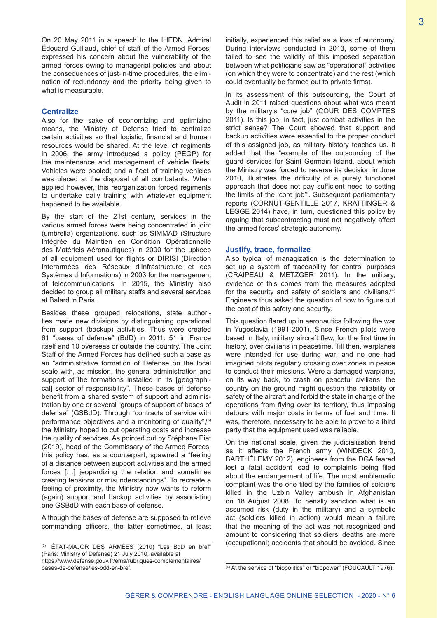On 20 May 2011 in a speech to the IHEDN, Admiral Édouard Guillaud, chief of staff of the Armed Forces, expressed his concern about the vulnerability of the armed forces owing to managerial policies and about the consequences of just-in-time procedures, the elimination of redundancy and the priority being given to what is measurable.

#### **Centralize**

Also for the sake of economizing and optimizing means, the Ministry of Defense tried to centralize certain activities so that logistic, financial and human resources would be shared. At the level of regiments in 2006, the army introduced a policy (PEGP) for the maintenance and management of vehicle fleets. Vehicles were pooled; and a fleet of training vehicles was placed at the disposal of all combatants. When applied however, this reorganization forced regiments to undertake daily training with whatever equipment happened to be available.

By the start of the 21st century, services in the various armed forces were being concentrated in joint (umbrella) organizations, such as SIMMAD (Structure Intégrée du Maintien en Condition Opérationnelle des Matériels Aéronautiques) in 2000 for the upkeep of all equipment used for flights or DIRISI (Direction Interarmées des Réseaux d'Infrastructure et des Systèmes d Informations) in 2003 for the management of telecommunications. In 2015, the Ministry also decided to group all military staffs and several services at Balard in Paris.

Besides these grouped relocations, state authorities made new divisions by distinguishing operational from support (backup) activities. Thus were created 61 "bases of defense" (BdD) in 2011: 51 in France itself and 10 overseas or outside the country. The Joint Staff of the Armed Forces has defined such a base as an "administrative formation of Defense on the local scale with, as mission, the general administration and support of the formations installed in its [geographical] sector of responsibility". These bases of defense benefit from a shared system of support and administration by one or several "groups of support of bases of defense" (GSBdD). Through "contracts of service with performance objectives and a monitoring of quality",<sup>(3)</sup> the Ministry hoped to cut operating costs and increase the quality of services. As pointed out by Stéphane Piat (2019), head of the Commissary of the Armed Forces, this policy has, as a counterpart, spawned a "feeling of a distance between support activities and the armed forces […] jeopardizing the relation and sometimes creating tensions or misunderstandings". To recreate a feeling of proximity, the Ministry now wants to reform (again) support and backup activities by associating one GSBdD with each base of defense.

Although the bases of defense are supposed to relieve commanding officers, the latter sometimes, at least initially, experienced this relief as a loss of autonomy. During interviews conducted in 2013, some of them failed to see the validity of this imposed separation between what politicians saw as "operational" activities (on which they were to concentrate) and the rest (which could eventually be farmed out to private firms).

In its assessment of this outsourcing, the Court of Audit in 2011 raised questions about what was meant by the military's "core job" (COUR DES COMPTES 2011). Is this job, in fact, just combat activities in the strict sense? The Court showed that support and backup activities were essential to the proper conduct of this assigned job, as military history teaches us. It added that the "example of the outsourcing of the guard services for Saint Germain Island, about which the Ministry was forced to reverse its decision in June 2010, illustrates the difficulty of a purely functional approach that does not pay sufficient heed to setting the limits of the 'core job'". Subsequent parliamentary reports (CORNUT-GENTILLE 2017, KRATTINGER & LEGGE 2014) have, in turn, questioned this policy by arguing that subcontracting must not negatively affect the armed forces' strategic autonomy.

#### **Justify, trace, formalize**

Also typical of managization is the determination to set up a system of traceability for control purposes (CRAIPEAU & METZGER 2011). In the military, evidence of this comes from the measures adopted for the security and safety of soldiers and civilians.<sup>(4)</sup> Engineers thus asked the question of how to figure out the cost of this safety and security.

This question flared up in aeronautics following the war in Yugoslavia (1991-2001). Since French pilots were based in Italy, military aircraft flew, for the first time in history, over civilians in peacetime. Till then, warplanes were intended for use during war; and no one had imagined pilots regularly crossing over zones in peace to conduct their missions. Were a damaged warplane, on its way back, to crash on peaceful civilians, the country on the ground might question the reliability or safety of the aircraft and forbid the state in charge of the operations from flying over its territory, thus imposing detours with major costs in terms of fuel and time. It was, therefore, necessary to be able to prove to a third party that the equipment used was reliable.

On the national scale, given the judicialization trend as it affects the French army (WINDECK 2010, BARTHÉLEMY 2012), engineers from the DGA feared lest a fatal accident lead to complaints being filed about the endangerment of life. The most emblematic complaint was the one filed by the families of soldiers killed in the Uzbin Valley ambush in Afghanistan on 18 August 2008. To penally sanction what is an assumed risk (duty in the military) and a symbolic act (soldiers killed in action) would mean a failure that the meaning of the act was not recognized and amount to considering that soldiers' deaths are mere (occupational) accidents that should be avoided. Since

<sup>(3)</sup> ÉTAT-MAJOR DES ARMÉES (2010) "Les BdD en bref" (Paris: Ministry of Defense) 21 July 2010, available at https://www.defense.gouv.fr/ema/rubriques-complementaires/ bases-de-defense/les-bdd-en-bref.

<sup>(4)</sup> At the service of "biopolitics" or "biopower" (FOUCAULT 1976).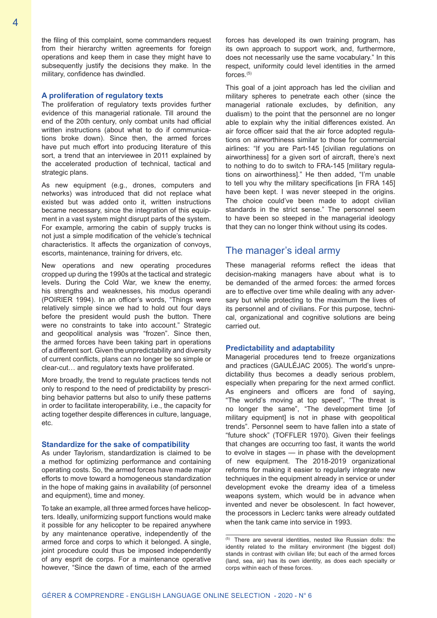the filing of this complaint, some commanders request from their hierarchy written agreements for foreign operations and keep them in case they might have to subsequently justify the decisions they make. In the military, confidence has dwindled.

#### **A proliferation of regulatory texts**

The proliferation of regulatory texts provides further evidence of this managerial rationale. Till around the end of the 20th century, only combat units had official written instructions (about what to do if communications broke down). Since then, the armed forces have put much effort into producing literature of this sort, a trend that an interviewee in 2011 explained by the accelerated production of technical, tactical and strategic plans.

As new equipment (e.g., drones, computers and networks) was introduced that did not replace what existed but was added onto it, written instructions became necessary, since the integration of this equipment in a vast system might disrupt parts of the system. For example, armoring the cabin of supply trucks is not just a simple modification of the vehicle's technical characteristics. It affects the organization of convoys, escorts, maintenance, training for drivers, etc.

New operations and new operating procedures cropped up during the 1990s at the tactical and strategic levels. During the Cold War, we knew the enemy, his strengths and weaknesses, his modus operandi (POIRIER 1994). In an officer's words, "Things were relatively simple since we had to hold out four days before the president would push the button. There were no constraints to take into account." Strategic and geopolitical analysis was "frozen". Since then, the armed forces have been taking part in operations of a different sort. Given the unpredictability and diversity of current conflicts, plans can no longer be so simple or clear-cut… and regulatory texts have proliferated.

More broadly, the trend to regulate practices tends not only to respond to the need of predictability by prescribing behavior patterns but also to unify these patterns in order to facilitate interoperability, i.e., the capacity for acting together despite differences in culture, language, etc.

#### **Standardize for the sake of compatibility**

As under Taylorism, standardization is claimed to be a method for optimizing performance and containing operating costs. So, the armed forces have made major efforts to move toward a homogeneous standardization in the hope of making gains in availability (of personnel and equipment), time and money.

To take an example, all three armed forces have helicopters. Ideally, uniformizing support functions would make it possible for any helicopter to be repaired anywhere by any maintenance operative, independently of the armed force and corps to which it belonged. A single, joint procedure could thus be imposed independently of any esprit de corps. For a maintenance operative however, "Since the dawn of time, each of the armed

forces has developed its own training program, has its own approach to support work, and, furthermore, does not necessarily use the same vocabulary." In this respect, uniformity could level identities in the armed forces. $(5)$ 

This goal of a joint approach has led the civilian and military spheres to penetrate each other (since the managerial rationale excludes, by definition, any dualism) to the point that the personnel are no longer able to explain why the initial differences existed. An air force officer said that the air force adopted regulations on airworthiness similar to those for commercial airlines: "If you are Part-145 [civilian regulations on airworthiness] for a given sort of aircraft, there's next to nothing to do to switch to FRA-145 [military regulations on airworthiness]." He then added, "I'm unable to tell you why the military specifications (in FRA 145) have been kept. I was never steeped in the origins. The choice could've been made to adopt civilian standards in the strict sense." The personnel seem to have been so steeped in the managerial ideology that they can no longer think without using its codes.

### The manager's ideal army

These managerial reforms reflect the ideas that decision-making managers have about what is to be demanded of the armed forces: the armed forces are to effective over time while dealing with any adversary but while protecting to the maximum the lives of its personnel and of civilians. For this purpose, technical, organizational and cognitive solutions are being carried out.

#### **Predictability and adaptability**

Managerial procedures tend to freeze organizations and practices (GAULÉJAC 2005). The world's unpredictability thus becomes a deadly serious problem, especially when preparing for the next armed conflict. As engineers and officers are fond of saying, "The world's moving at top speed", "The threat is no longer the same", "The development time [of military equipment] is not in phase with geopolitical trends". Personnel seem to have fallen into a state of "future shock" (TOFFLER 1970). Given their feelings that changes are occurring too fast, it wants the world to evolve in stages — in phase with the development of new equipment. The 2018-2019 organizational reforms for making it easier to regularly integrate new techniques in the equipment already in service or under development evoke the dreamy idea of a timeless weapons system, which would be in advance when invented and never be obsolescent. In fact however, the processors in Leclerc tanks were already outdated when the tank came into service in 1993.

<sup>(5)</sup> There are several identities, nested like Russian dolls: the identity related to the military environment (the biggest doll) stands in contrast with civilian life; but each of the armed forces (land, sea, air) has its own identity, as does each specialty or corps within each of these forces.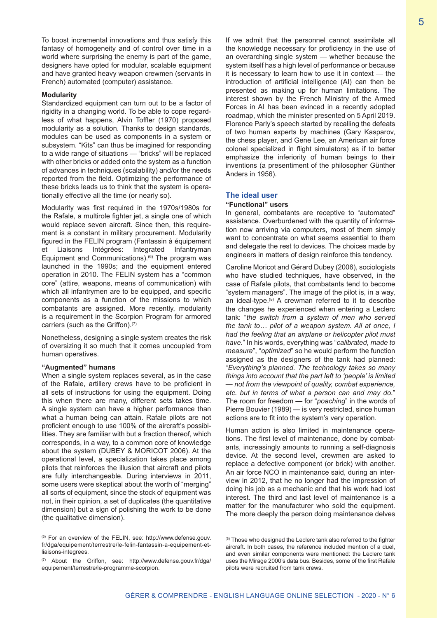To boost incremental innovations and thus satisfy this fantasy of homogeneity and of control over time in a world where surprising the enemy is part of the game, designers have opted for modular, scalable equipment and have granted heavy weapon crewmen (servants in French) automated (computer) assistance.

#### **Modularity**

Standardized equipment can turn out to be a factor of rigidity in a changing world. To be able to cope regardless of what happens, Alvin Toffler (1970) proposed modularity as a solution. Thanks to design standards, modules can be used as components in a system or subsystem. "Kits" can thus be imagined for responding to a wide range of situations — "bricks" will be replaced with other bricks or added onto the system as a function of advances in techniques (scalability) and/or the needs reported from the field. Optimizing the performance of these bricks leads us to think that the system is operationally effective all the time (or nearly so).

Modularity was first required in the 1970s/1980s for the Rafale, a multirole fighter jet, a single one of which would replace seven aircraft. Since then, this requirement is a constant in military procurement. Modularity figured in the FELIN program (Fantassin à équipement et Liaisons Intégrées: Integrated Infantryman Equipment and Communications). $(6)$  The program was launched in the 1990s; and the equipment entered operation in 2010. The FELIN system has a "common core" (attire, weapons, means of communication) with which all infantrymen are to be equipped, and specific components as a function of the missions to which combatants are assigned. More recently, modularity is a requirement in the Scorpion Program for armored carriers (such as the Griffon).<sup>(7)</sup>

Nonetheless, designing a single system creates the risk of oversizing it so much that it comes uncoupled from human operatives.

#### **"Augmented" humans**

When a single system replaces several, as in the case of the Rafale, artillery crews have to be proficient in all sets of instructions for using the equipment. Doing this when there are many, different sets takes time. A single system can have a higher performance than what a human being can attain. Rafale pilots are not proficient enough to use 100% of the aircraft's possibilities. They are familiar with but a fraction thereof, which corresponds, in a way, to a common core of knowledge about the system (DUBEY & MORICOT 2006). At the operational level, a specialization takes place among pilots that reinforces the illusion that aircraft and pilots are fully interchangeable. During interviews in 2011, some users were skeptical about the worth of "merging" all sorts of equipment, since the stock of equipment was not, in their opinion, a set of duplicates (the quantitative dimension) but a sign of polishing the work to be done (the qualitative dimension).

If we admit that the personnel cannot assimilate all the knowledge necessary for proficiency in the use of an overarching single system — whether because the system itself has a high level of performance or because it is necessary to learn how to use it in context — the introduction of artificial intelligence (AI) can then be presented as making up for human limitations. The interest shown by the French Ministry of the Armed Forces in AI has been evinced in a recently adopted roadmap, which the minister presented on 5 April 2019. Florence Parly's speech started by recalling the defeats of two human experts by machines (Gary Kasparov, the chess player, and Gene Lee, an American air force colonel specialized in flight simulators) as if to better emphasize the inferiority of human beings to their inventions (a presentiment of the philosopher Günther Anders in 1956).

#### **The ideal user**

#### **"Functional" users**

In general, combatants are receptive to "automated" assistance. Overburdened with the quantity of information now arriving via computers, most of them simply want to concentrate on what seems essential to them and delegate the rest to devices. The choices made by engineers in matters of design reinforce this tendency.

Caroline Moricot and Gérard Dubey (2006), sociologists who have studied techniques, have observed, in the case of Rafale pilots, that combatants tend to become "system managers". The image of the pilot is, in a way, an ideal-type. $(8)$  A crewman referred to it to describe the changes he experienced when entering a Leclerc tank: "*the switch from a system of men who served the tank to… pilot of a weapon system. All at once, I had the feeling that an airplane or helicopter pilot must have.*" In his words, everything was "*calibrated, made to measure*", "*optimized*" so he would perform the function assigned as the designers of the tank had planned: "*Everything's planned. The technology takes so many things into account that the part left to 'people' is limited — not from the viewpoint of quality, combat experience, etc. but in terms of what a person can and may do.*" The room for freedom — for "*poaching*" in the words of Pierre Bouvier (1989) — is very restricted, since human actions are to fit into the system's very operation.

Human action is also limited in maintenance operations. The first level of maintenance, done by combatants, increasingly amounts to running a self-diagnosis device. At the second level, crewmen are asked to replace a defective component (or brick) with another. An air force NCO in maintenance said, during an interview in 2012, that he no longer had the impression of doing his job as a mechanic and that his work had lost interest. The third and last level of maintenance is a matter for the manufacturer who sold the equipment. The more deeply the person doing maintenance delves

<sup>(6)</sup> For an overview of the FELIN, see: http://www.defense.gouv. fr/dga/equipement/terrestre/le-felin-fantassin-a-equipement-etliaisons-integrees.

<sup>(7)</sup> About the Griffon, see: http://www.defense.gouv.fr/dga/ equipement/terrestre/le-programme-scorpion.

<sup>(8)</sup> Those who designed the Leclerc tank also referred to the fighter aircraft. In both cases, the reference included mention of a duel, and even similar components were mentioned: the Leclerc tank uses the Mirage 2000's data bus. Besides, some of the first Rafale pilots were recruited from tank crews.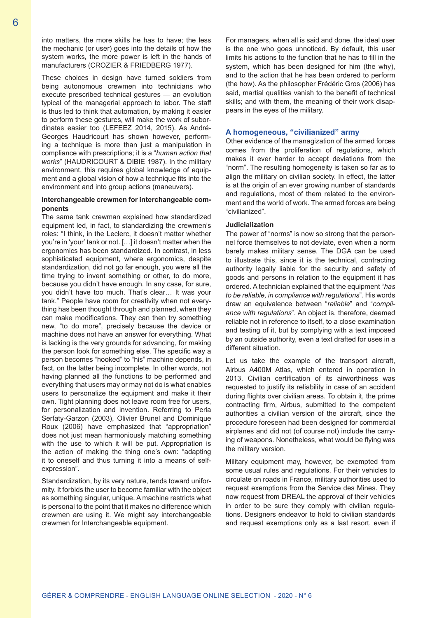into matters, the more skills he has to have; the less the mechanic (or user) goes into the details of how the system works, the more power is left in the hands of manufacturers (CROZIER & FRIEDBERG 1977).

These choices in design have turned soldiers from being autonomous crewmen into technicians who execute prescribed technical gestures — an evolution typical of the managerial approach to labor. The staff is thus led to think that automation, by making it easier to perform these gestures, will make the work of subordinates easier too (LEFEEZ 2014, 2015). As André-Georges Haudricourt has shown however, performing a technique is more than just a manipulation in compliance with prescriptions; it is a "*human action that works*" (HAUDRICOURT & DIBIE 1987). In the military environment, this requires global knowledge of equipment and a global vision of how a technique fits into the environment and into group actions (maneuvers).

#### **Interchangeable crewmen for interchangeable components**

The same tank crewman explained how standardized equipment led, in fact, to standardizing the crewmen's roles: "I think, in the Leclerc, it doesn't matter whether you're in 'your' tank or not. […] it doesn't matter when the ergonomics has been standardized. In contrast, in less sophisticated equipment, where ergonomics, despite standardization, did not go far enough, you were all the time trying to invent something or other, to do more, because you didn't have enough. In any case, for sure, you didn't have too much. That's clear… It was your tank." People have room for creativity when not everything has been thought through and planned, when they can make modifications. They can then try something new, "to do more", precisely because the device or machine does not have an answer for everything. What is lacking is the very grounds for advancing, for making the person look for something else. The specific way a person becomes "hooked" to "his" machine depends, in fact, on the latter being incomplete. In other words, not having planned all the functions to be performed and everything that users may or may not do is what enables users to personalize the equipment and make it their own. Tight planning does not leave room free for users, for personalization and invention. Referring to Perla Serfaty-Garzon (2003), Olivier Brunel and Dominique Roux (2006) have emphasized that "appropriation" does not just mean harmoniously matching something with the use to which it will be put. Appropriation is the action of making the thing one's own: "adapting it to oneself and thus turning it into a means of selfexpression".

Standardization, by its very nature, tends toward uniformity. It forbids the user to become familiar with the object as something singular, unique. A machine restricts what is personal to the point that it makes no difference which crewmen are using it. We might say interchangeable crewmen for Interchangeable equipment.

For managers, when all is said and done, the ideal user is the one who goes unnoticed. By default, this user limits his actions to the function that he has to fill in the system, which has been designed for him (the why), and to the action that he has been ordered to perform (the how). As the philosopher Frédéric Gros (2006) has said, martial qualities vanish to the benefit of technical skills; and with them, the meaning of their work disappears in the eyes of the military.

#### **A homogeneous, "civilianized" army**

Other evidence of the managization of the armed forces comes from the proliferation of regulations, which makes it ever harder to accept deviations from the "norm". The resulting homogeneity is taken so far as to align the military on civilian society. In effect, the latter is at the origin of an ever growing number of standards and regulations, most of them related to the environment and the world of work. The armed forces are being "civilianized".

#### **Judicialization**

The power of "norms" is now so strong that the personnel force themselves to not deviate, even when a norm barely makes military sense. The DGA can be used to illustrate this, since it is the technical, contracting authority legally liable for the security and safety of goods and persons in relation to the equipment it has ordered. A technician explained that the equipment "*has to be reliable, in compliance with regulations*". His words draw an equivalence between "*reliable*" and "*compliance with regulations*". An object is, therefore, deemed reliable not in reference to itself, to a close examination and testing of it, but by complying with a text imposed by an outside authority, even a text drafted for uses in a different situation.

Let us take the example of the transport aircraft, Airbus A400M Atlas, which entered in operation in 2013. Civilian certification of its airworthiness was requested to justify its reliability in case of an accident during flights over civilian areas. To obtain it, the prime contracting firm, Airbus, submitted to the competent authorities a civilian version of the aircraft, since the procedure foreseen had been designed for commercial airplanes and did not (of course not) include the carrying of weapons. Nonetheless, what would be flying was the military version.

Military equipment may, however, be exempted from some usual rules and regulations. For their vehicles to circulate on roads in France, military authorities used to request exemptions from the Service des Mines. They now request from DREAL the approval of their vehicles in order to be sure they comply with civilian regulations. Designers endeavor to hold to civilian standards and request exemptions only as a last resort, even if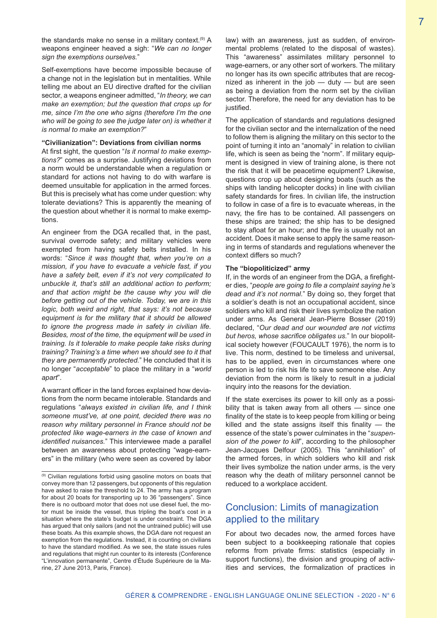the standards make no sense in a military context.<sup>(9)</sup> A weapons engineer heaved a sigh: "*We can no longer sign the exemptions ourselves.*"

Self-exemptions have become impossible because of a change not in the legislation but in mentalities. While telling me about an EU directive drafted for the civilian sector, a weapons engineer admitted, "*In theory, we can make an exemption; but the question that crops up for me, since I'm the one who signs (therefore I'm the one who will be going to see the judge later on) is whether it is normal to make an exemption?*"

#### **"Civilianization": Deviations from civilian norms**

At first sight, the question "*Is it normal to make exemptions?*" comes as a surprise. Justifying deviations from a norm would be understandable when a regulation or standard for actions not having to do with warfare is deemed unsuitable for application in the armed forces. But this is precisely what has come under question: why tolerate deviations? This is apparently the meaning of the question about whether it is normal to make exemptions.

An engineer from the DGA recalled that, in the past, survival overrode safety; and military vehicles were exempted from having safety belts installed. In his words: "*Since it was thought that, when you're on a mission, if you have to evacuate a vehicle fast, if you have a safety belt, even if it's not very complicated to unbuckle it, that's still an additional action to perform; and that action might be the cause why you will die before getting out of the vehicle. Today, we are in this logic, both weird and right, that says: it's not because equipment is for the military that it should be allowed to ignore the progress made in safety in civilian life. Besides, most of the time, the equipment will be used in training. Is it tolerable to make people take risks during training? Training's a time when we should see to it that they are permanently protected.*" He concluded that it is no longer "*acceptable*" to place the military in a "*world apart*".

A warrant officer in the land forces explained how deviations from the norm became intolerable. Standards and regulations "*always existed in civilian life, and I think someone must've, at one point, decided there was no reason why military personnel in France should not be protected like wage-earners in the case of known and identified nuisances.*" This interviewee made a parallel between an awareness about protecting "wage-earners" in the military (who were seen as covered by labor

law) with an awareness, just as sudden, of environmental problems (related to the disposal of wastes). This "awareness" assimilates military personnel to wage-earners, or any other sort of workers. The military no longer has its own specific attributes that are recognized as inherent in the job — duty — but are seen as being a deviation from the norm set by the civilian sector. Therefore, the need for any deviation has to be justified.

The application of standards and regulations designed for the civilian sector and the internalization of the need to follow them is aligning the military on this sector to the point of turning it into an "anomaly" in relation to civilian life, which is seen as being the "norm". If military equipment is designed in view of training alone, is there not the risk that it will be peacetime equipment? Likewise, questions crop up about designing boats (such as the ships with landing helicopter docks) in line with civilian safety standards for fires. In civilian life, the instruction to follow in case of a fire is to evacuate whereas, in the navy, the fire has to be contained. All passengers on these ships are trained; the ship has to be designed to stay afloat for an hour; and the fire is usually not an accident. Does it make sense to apply the same reasoning in terms of standards and regulations whenever the context differs so much?

#### **The "biopoliticized" army**

If, in the words of an engineer from the DGA, a firefighter dies, "*people are going to file a complaint saying he's dead and it's not normal.*" By doing so, they forget that a soldier's death is not an occupational accident, since soldiers who kill and risk their lives symbolize the nation under arms. As General Jean-Pierre Bosser (2019) declared, "*Our dead and our wounded are not victims but heros, whose sacrifice obligates us.*" In our biopolitical society however (FOUCAULT 1976), the norm is to live. This norm, destined to be timeless and universal, has to be applied, even in circumstances where one person is led to risk his life to save someone else. Any deviation from the norm is likely to result in a judicial inquiry into the reasons for the deviation.

If the state exercises its power to kill only as a possibility that is taken away from all others — since one finality of the state is to keep people from killing or being killed and the state assigns itself this finality  $-$  the essence of the state's power culminates in the "*suspension of the power to kill*", according to the philosopher Jean-Jacques Delfour (2005). This "annihilation" of the armed forces, in which soldiers who kill and risk their lives symbolize the nation under arms, is the very reason why the death of military personnel cannot be reduced to a workplace accident.

# Conclusion: Limits of managization applied to the military

For about two decades now, the armed forces have been subject to a bookkeeping rationale that copies reforms from private firms: statistics (especially in support functions), the division and grouping of activities and services, the formalization of practices in

<sup>(9)</sup> Civilian regulations forbid using gasoline motors on boats that convey more than 12 passengers, but opponents of this regulation have asked to raise the threshold to 24. The army has a program for about 20 boats for transporting up to 36 "passengers". Since there is no outboard motor that does not use diesel fuel, the motor must be inside the vessel, thus tripling the boat's cost in a situation where the state's budget is under constraint. The DGA has argued that only sailors (and not the untrained public) will use these boats. As this example shows, the DGA dare not request an exemption from the regulations. Instead, it is counting on civilians to have the standard modified. As we see, the state issues rules and regulations that might run counter to its interests (Conference "L'innovation permanente", Centre d'Étude Supérieure de la Marine, 27 June 2013, Paris, France).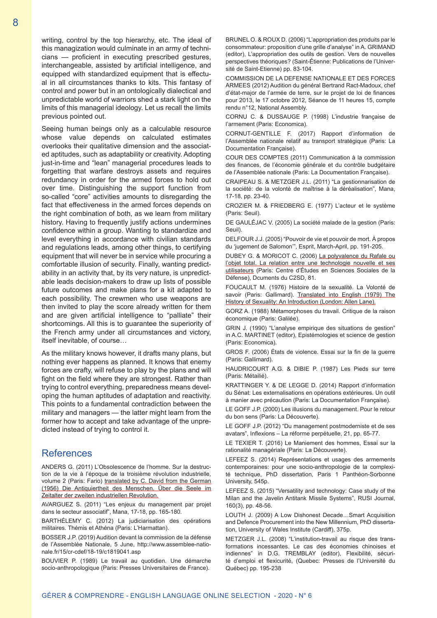writing, control by the top hierarchy, etc. The ideal of this managization would culminate in an army of technicians — proficient in executing prescribed gestures, interchangeable, assisted by artificial intelligence, and equipped with standardized equipment that is effectual in all circumstances thanks to kits. This fantasy of control and power but in an ontologically dialectical and unpredictable world of warriors shed a stark light on the limits of this managerial ideology. Let us recall the limits previous pointed out.

Seeing human beings only as a calculable resource whose value depends on calculated estimates overlooks their qualitative dimension and the associated aptitudes, such as adaptability or creativity. Adopting just-in-time and "lean" managerial procedures leads to forgetting that warfare destroys assets and requires redundancy in order for the armed forces to hold out over time. Distinguishing the support function from so-called "core" activities amounts to disregarding the fact that effectiveness in the armed forces depends on the right combination of both, as we learn from military history. Having to frequently justify actions undermines confidence within a group. Wanting to standardize and level everything in accordance with civilian standards and regulations leads, among other things, to certifying equipment that will never be in service while procuring a comfortable illusion of security. Finally, wanting predictability in an activity that, by its very nature, is unpredictable leads decision-makers to draw up lists of possible future outcomes and make plans for a kit adapted to each possibility. The crewmen who use weapons are then invited to play the score already written for them and are given artificial intelligence to "palliate" their shortcomings. All this is to guarantee the superiority of the French army under all circumstances and victory, itself inevitable, of course…

As the military knows however, it drafts many plans, but nothing ever happens as planned. It knows that enemy forces are crafty, will refuse to play by the plans and will fight on the field where they are strongest. Rather than trying to control everything, preparedness means developing the human aptitudes of adaptation and reactivity. This points to a fundamental contradiction between the military and managers — the latter might learn from the former how to accept and take advantage of the unpredicted instead of trying to control it.

## **References**

ANDERS G. (2011) L'Obsolescence de l'homme. Sur la destruction de la vie à l'époque de la troisième révolution industrielle, volume 2 (Paris: Fario) translated by C. David from the German (1956) Die Antiquiertheit des Menschen. Über die Seele im Zeitalter der zweiten industriellen Revolution.

AVARGUEZ S. (2011) "Les enjeux du management par projet dans le secteur associatif", Mana, 17-18, pp. 165-180.

BARTHÉLEMY C. (2012) La judiciarisation des opérations militaires. Thémis et Athéna (Paris: L'Harmattan).

BOSSER J.P. (2019) Audition devant la commission de la défense de l'Assemblée Nationale, 5 June, http://www.assemblee-nationale.fr/15/cr-cdef/18-19/c1819041.asp

BOUVIER P. (1989) Le travail au quotidien. Une démarche socio-anthropologique (Paris: Presses Universitaires de France).

BRUNEL O. & ROUX D. (2006) "L'appropriation des produits par le consommateur: proposition d'une grille d'analyse" in A. GRIMAND (editor), L'appropriation des outils de gestion. Vers de nouvelles perspectives théoriques? (Saint-Étienne: Publications de l'Université de Saint-Etienne) pp. 83-104.

COMMISSION DE LA DEFENSE NATIONALE ET DES FORCES ARMEES (2012) Audition du général Bertrand Ract-Madoux, chef d'état-major de l'armée de terre, sur le projet de loi de finances pour 2013, le 17 octobre 2012, Séance de 11 heures 15, compte rendu n°12, National Assembly.

CORNU C. & DUSSAUGE P. (1998) L'industrie française de l'armement (Paris: Economica).

CORNUT-GENTILLE F. (2017) Rapport d'information de l'Assemblée nationale relatif au transport stratégique (Paris: La Documentation Française).

COUR DES COMPTES (2011) Communication à la commission des finances, de l'économie générale et du contrôle budgétaire de l'Assemblée nationale (Paris: La Documentation Française).

CRAIPEAU S. & METZGER J.L. (2011) "La gestionnarisation de la société: de la volonté de maîtrise à la déréalisation", Mana, 17-18, pp. 23-40.

CROZIER M. & FRIEDBERG E. (1977) L'acteur et le système (Paris: Seuil).

DE GAULÉJAC V. (2005) La société malade de la gestion (Paris: Seuil).

DELFOUR J.J. (2005) "Pouvoir de vie et pouvoir de mort. À propos du 'jugement de Salomon'", Esprit, March-April, pp. 191-205.

DUBEY G. & MORICOT C. (2006) La polyvalence du Rafale ou l'objet total. La relation entre une technologie nouvelle et ses utilisateurs (Paris: Centre d'Études en Sciences Sociales de la Défense), Dcuments du C2SD, 81.

FOUCAULT M. (1976) Histoire de la sexualité. La Volonté de savoir (Paris: Gallimard). Translated into English (1979) The History of Sexuality: An Introduction (London: Allen Lane).

GORZ A. (1988) Métamorphoses du travail. Critique de la raison économique (Paris: Galilée).

GRIN J. (1990) "L'analyse empirique des situations de gestion" in A.C. MARTINET (editor), Epistémologies et science de gestion (Paris: Economica).

GROS F. (2006) États de violence. Essai sur la fin de la guerre (Paris: Gallimard).

HAUDRICOURT A.G. & DIBIE P. (1987) Les Pieds sur terre (Paris: Métailié).

KRATTINGER Y. & DE LEGGE D. (2014) Rapport d'information du Sénat: Les externalisations en opérations extérieures. Un outil à manier avec précaution (Paris: La Documentation Française).

LE GOFF J.P. (2000) Les illusions du management. Pour le retour du bon sens (Paris: La Découverte).

LE GOFF J.P. (2012) "Du management postmoderniste et de ses avatars", Inflexions – La réforme perpétuelle, 21, pp. 65-77.

LE TEXIER T. (2016) Le Maniement des hommes, Essai sur la rationalité managériale (Paris: La Découverte).

LEFEEZ S. (2014) Représentations et usages des armements contemporaines: pour une socio-anthropologie de la complexité technique, PhD dissertation, Paris 1 Panthéon-Sorbonne University, 545p.

LEFEEZ S. (2015) "Versatility and technology: Case study of the Milan and the Javelin Antitank Missile Systems", RUSI Journal, 160(3), pp. 48-56.

LOUTH J. (2009) A Low Dishonest Decade…Smart Acquisition and Defence Procurement into the New Millennium, PhD dissertation, University of Wales Institute (Cardiff), 375p.

METZGER J.L. (2008) "L'institution-travail au risque des transformations incessantes. Le cas des économies chinoises et indiennes" in D.G. TREMBLAY (editor), Flexibilité, sécurité d'emploi et flexicurité, (Quebec: Presses de l'Université du Québec) pp. 195-238